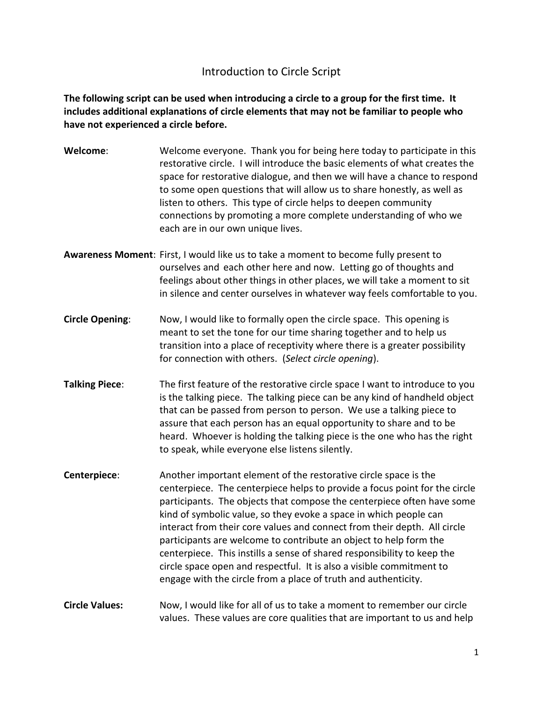## Introduction to Circle Script

## **The following script can be used when introducing a circle to a group for the first time. It includes additional explanations of circle elements that may not be familiar to people who have not experienced a circle before.**

| Welcome:               | Welcome everyone. Thank you for being here today to participate in this<br>restorative circle. I will introduce the basic elements of what creates the<br>space for restorative dialogue, and then we will have a chance to respond<br>to some open questions that will allow us to share honestly, as well as<br>listen to others. This type of circle helps to deepen community<br>connections by promoting a more complete understanding of who we<br>each are in our own unique lives.                                                                                                                                                                          |
|------------------------|---------------------------------------------------------------------------------------------------------------------------------------------------------------------------------------------------------------------------------------------------------------------------------------------------------------------------------------------------------------------------------------------------------------------------------------------------------------------------------------------------------------------------------------------------------------------------------------------------------------------------------------------------------------------|
|                        | Awareness Moment: First, I would like us to take a moment to become fully present to<br>ourselves and each other here and now. Letting go of thoughts and<br>feelings about other things in other places, we will take a moment to sit<br>in silence and center ourselves in whatever way feels comfortable to you.                                                                                                                                                                                                                                                                                                                                                 |
| <b>Circle Opening:</b> | Now, I would like to formally open the circle space. This opening is<br>meant to set the tone for our time sharing together and to help us<br>transition into a place of receptivity where there is a greater possibility<br>for connection with others. (Select circle opening).                                                                                                                                                                                                                                                                                                                                                                                   |
| <b>Talking Piece:</b>  | The first feature of the restorative circle space I want to introduce to you<br>is the talking piece. The talking piece can be any kind of handheld object<br>that can be passed from person to person. We use a talking piece to<br>assure that each person has an equal opportunity to share and to be<br>heard. Whoever is holding the talking piece is the one who has the right<br>to speak, while everyone else listens silently.                                                                                                                                                                                                                             |
| Centerpiece:           | Another important element of the restorative circle space is the<br>centerpiece. The centerpiece helps to provide a focus point for the circle<br>participants. The objects that compose the centerpiece often have some<br>kind of symbolic value, so they evoke a space in which people can<br>interact from their core values and connect from their depth. All circle<br>participants are welcome to contribute an object to help form the<br>centerpiece. This instills a sense of shared responsibility to keep the<br>circle space open and respectful. It is also a visible commitment to<br>engage with the circle from a place of truth and authenticity. |
| <b>Circle Values:</b>  | Now, I would like for all of us to take a moment to remember our circle<br>values. These values are core qualities that are important to us and help                                                                                                                                                                                                                                                                                                                                                                                                                                                                                                                |